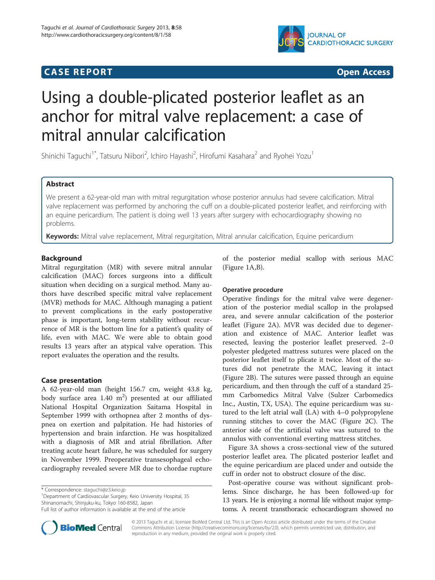## **CASE REPORT CASE REPORT CASE REPORT**



# Using a double-plicated posterior leaflet as an anchor for mitral valve replacement: a case of mitral annular calcification

Shinichi Taguchi<sup>1\*</sup>, Tatsuru Niibori<sup>2</sup>, Ichiro Hayashi<sup>2</sup>, Hirofumi Kasahara<sup>2</sup> and Ryohei Yozu<sup>1</sup>

## Abstract

We present a 62-year-old man with mitral regurgitation whose posterior annulus had severe calcification. Mitral valve replacement was performed by anchoring the cuff on a double-plicated posterior leaflet, and reinforcing with an equine pericardium. The patient is doing well 13 years after surgery with echocardiography showing no problems.

Keywords: Mitral valve replacement, Mitral regurgitation, Mitral annular calcification, Equine pericardium

## Background

Mitral regurgitation (MR) with severe mitral annular calcification (MAC) forces surgeons into a difficult situation when deciding on a surgical method. Many authors have described specific mitral valve replacement (MVR) methods for MAC. Although managing a patient to prevent complications in the early postoperative phase is important, long-term stability without recurrence of MR is the bottom line for a patient's quality of life, even with MAC. We were able to obtain good results 13 years after an atypical valve operation. This report evaluates the operation and the results.

## Case presentation

A 62-year-old man (height 156.7 cm, weight 43.8 kg, body surface area  $1.40 \text{ m}^2$ ) presented at our affiliated National Hospital Organization Saitama Hospital in September 1999 with orthopnea after 2 months of dyspnea on exertion and palpitation. He had histories of hypertension and brain infarction. He was hospitalized with a diagnosis of MR and atrial fibrillation. After treating acute heart failure, he was scheduled for surgery in November 1999. Preoperative transesophageal echocardiography revealed severe MR due to chordae rupture

\* Correspondence: [staguchi@z3.keio.jp](mailto:staguchi@z3.keio.jp) <sup>1</sup>

<sup>1</sup>Department of Cardiovascular Surgery, Keio University Hospital, 35 Shinanomachi, Shinjuku-ku, Tokyo 160-8582, Japan



## Operative procedure

Operative findings for the mitral valve were degeneration of the posterior medial scallop in the prolapsed area, and severe annular calcification of the posterior leaflet (Figure [2A](#page-1-0)). MVR was decided due to degeneration and existence of MAC. Anterior leaflet was resected, leaving the posterior leaflet preserved. 2–0 polyester pledgeted mattress sutures were placed on the posterior leaflet itself to plicate it twice. Most of the sutures did not penetrate the MAC, leaving it intact (Figure [2B](#page-1-0)). The sutures were passed through an equine pericardium, and then through the cuff of a standard 25 mm Carbomedics Mitral Valve (Sulzer Carbomedics Inc., Austin, TX, USA). The equine pericardium was sutured to the left atrial wall (LA) with 4–0 polypropylene running stitches to cover the MAC (Figure [2](#page-1-0)C). The anterior side of the artificial valve was sutured to the annulus with conventional everting mattress stitches.

Figure [3A](#page-2-0) shows a cross-sectional view of the sutured posterior leaflet area. The plicated posterior leaflet and the equine pericardium are placed under and outside the cuff in order not to obstruct closure of the disc.

Post-operative course was without significant problems. Since discharge, he has been followed-up for 13 years. He is enjoying a normal life without major symptoms. A recent transthoracic echocardiogram showed no



© 2013 Taguchi et al.; licensee BioMed Central Ltd. This is an Open Access article distributed under the terms of the Creative Commons Attribution License [\(http://creativecommons.org/licenses/by/2.0\)](http://creativecommons.org/licenses/by/2.0), which permits unrestricted use, distribution, and reproduction in any medium, provided the original work is properly cited.

Full list of author information is available at the end of the article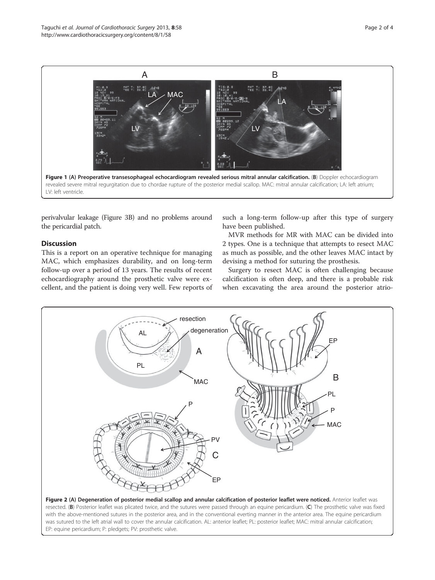<span id="page-1-0"></span>

perivalvular leakage (Figure [3B](#page-2-0)) and no problems around the pericardial patch.

## **Discussion**

This is a report on an operative technique for managing MAC, which emphasizes durability, and on long-term follow-up over a period of 13 years. The results of recent echocardiography around the prosthetic valve were excellent, and the patient is doing very well. Few reports of

such a long-term follow-up after this type of surgery have been published.

MVR methods for MR with MAC can be divided into 2 types. One is a technique that attempts to resect MAC as much as possible, and the other leaves MAC intact by devising a method for suturing the prosthesis.

Surgery to resect MAC is often challenging because calcification is often deep, and there is a probable risk when excavating the area around the posterior atrio-



resected. (B) Posterior leaflet was plicated twice, and the sutures were passed through an equine pericardium. (C) The prosthetic valve was fixed with the above-mentioned sutures in the posterior area, and in the conventional everting manner in the anterior area. The equine pericardium was sutured to the left atrial wall to cover the annular calcification. AL: anterior leaflet; PL: posterior leaflet; MAC: mitral annular calcification; EP: equine pericardium; P: pledgets; PV: prosthetic valve.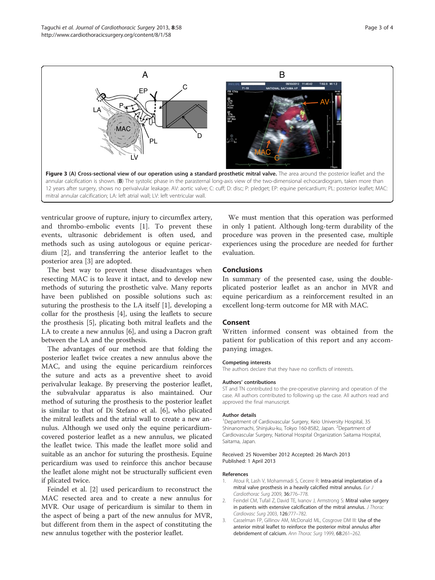<span id="page-2-0"></span>

ventricular groove of rupture, injury to circumflex artery, and thrombo-embolic events [1]. To prevent these events, ultrasonic debridement is often used, and methods such as using autologous or equine pericardium [2], and transferring the anterior leaflet to the posterior area [3] are adopted.

The best way to prevent these disadvantages when resecting MAC is to leave it intact, and to develop new methods of suturing the prosthetic valve. Many reports have been published on possible solutions such as: suturing the prosthesis to the LA itself [1], developing a collar for the prosthesis [[4](#page-3-0)], using the leaflets to secure the prosthesis [[5\]](#page-3-0), plicating both mitral leaflets and the LA to create a new annulus [[6\]](#page-3-0), and using a Dacron graft between the LA and the prosthesis.

The advantages of our method are that folding the posterior leaflet twice creates a new annulus above the MAC, and using the equine pericardium reinforces the suture and acts as a preventive sheet to avoid perivalvular leakage. By preserving the posterior leaflet, the subvalvular apparatus is also maintained. Our method of suturing the prosthesis to the posterior leaflet is similar to that of Di Stefano et al. [\[6](#page-3-0)], who plicated the mitral leaflets and the atrial wall to create a new annulus. Although we used only the equine pericardiumcovered posterior leaflet as a new annulus, we plicated the leaflet twice. This made the leaflet more solid and suitable as an anchor for suturing the prosthesis. Equine pericardium was used to reinforce this anchor because the leaflet alone might not be structurally sufficient even if plicated twice.

Feindel et al. [2] used pericardium to reconstruct the MAC resected area and to create a new annulus for MVR. Our usage of pericardium is similar to them in the aspect of being a part of the new annulus for MVR, but different from them in the aspect of constituting the new annulus together with the posterior leaflet.

We must mention that this operation was performed in only 1 patient. Although long-term durability of the procedure was proven in the presented case, multiple experiences using the procedure are needed for further evaluation.

## Conclusions

In summary of the presented case, using the doubleplicated posterior leaflet as an anchor in MVR and equine pericardium as a reinforcement resulted in an excellent long-term outcome for MR with MAC.

#### Consent

Written informed consent was obtained from the patient for publication of this report and any accompanying images.

#### Competing interests

The authors declare that they have no conflicts of interests.

#### Authors' contributions

ST and TN contributed to the pre-operative planning and operation of the case. All authors contributed to following up the case. All authors read and approved the final manuscript.

#### Author details

<sup>1</sup>Department of Cardiovascular Surgery, Keio University Hospital, 35 Shinanomachi, Shinjuku-ku, Tokyo 160-8582, Japan. <sup>2</sup>Department of Cardiovascular Surgery, National Hospital Organization Saitama Hospital, Saitama, Japan.

#### Received: 25 November 2012 Accepted: 26 March 2013 Published: 1 April 2013

#### References

- 1. Atoui R, Lash V, Mohammadi S, Cecere R: Intra-atrial implantation of a mitral valve prosthesis in a heavily calcified mitral annulus. Eur J Cardiothorac Surg 2009, 36:776–778.
- 2. Feindel CM, Tufail Z, David TE, Ivanov J, Armstrong S: Mitral valve surgery in patients with extensive calcification of the mitral annulus. J Thorac Cardiovasc Surg 2003, 126:777–782.
- 3. Casselman FP, Gillinov AM, McDonald ML, Cosgrove DM III: Use of the anterior mitral leaflet to reinforce the posterior mitral annulus after debridement of calcium. Ann Thorac Surg 1999, 68:261–262.